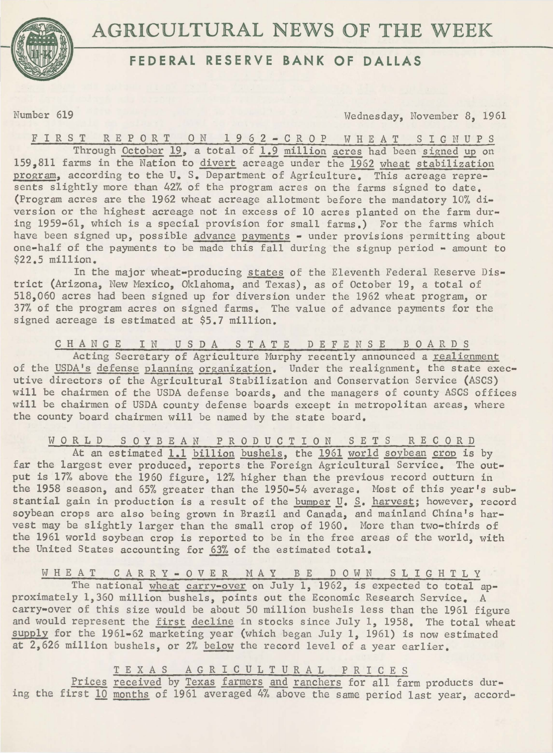

## **FEDERAL RESERVE BANK OF DALLAS**

Number 619 Wednesday, November 8, 1961

FIRST REPORT ON 1962-CROP WHEAT SIGNUPS Through <u>October 19</u>, a total of 1.9 million acres had been signed up on 159,811 farms in the Nation to <u>divert</u> acreage under the <u>1962 wheat stabilization</u> program, according to the U. S. Department of Agriculture. This acreage represents slightly more than 42% of the program acres on the farms signed to date. (Program acres are the 1962 wheat acreage allotment before the mandatory 10% divers ion or the highest acreage not in excess of 10 acres planted on the farm during 1959-61, which is a special provision for small farms.) For the farms which have been signed up, possible advance payments - under provisions permitting about one-half of the payments to be made this fall during the signup period - amount to \$22.5 million.

In the major wheat-producing states of the Eleventh Federal Reserve District (Arizona, New Mexico, Oklahoma, and Texas), as of October 19, a total of 518,060 acres had been signed up for diversion under the 1962 wheat program, or 37% of the program acres on signed farms. The value of advance payments for the signed acreage is estimated at \$5.7 million.

C H A N G E I N U S D A S T A T E D E F E N S E B O A R D S

Acting Secretary of Agriculture Murphy recently announced a realignment of the USDA's defense planning organization. Under the realignment, the state executive directors of the Agricultural Stabilization and Conservation Service (ASCS) will be chairmen of the USDA defense boards, and the managers of county ASCS offices will be chairmen of USDA county defense boards except in metropolitan areas, where the county board chairmen will be named by the state board.

W O R L D S O Y B E A N P R O D U C T I O N S E T S R E C O R D At an estimated 1.1 billion bushels, the 1961 world soybean crop is by

far the largest ever produced, reports the Foreign Agricultural Service. The output is 17% above the 1960 figure, 12% higher than the previous record outturn in the 1958 season, and 65% greater than the 1950-54 average. Most of this year's substantial gain in production is a result of the bumper U.  $S$ . harvest; however, record soybean crops are also being grown in Brazil and Canada, and mainland China's harvest may be slightly larger than the small crop of 1960. More than two-thirds of the 1961 world soybean crop is reported to be in the free areas of the world, with the United States accounting for 63% of the estimated total.

WHEAT CARRY-OVER MAY BE DOWN SLIGHTLY

The national wheat carry-over on July 1, 1962, is expected to total approximately 1,360 million bushels, points out the Economic Research Service. A carry-over of this size would be about 50 million bushels less than the 1961 figure and would represent the first decline in stocks since July 1, 1958. The total wheat supply for the 1961-62 marketing year (which began July 1, 1961) is now estimated at  $2,626$  million bushels, or 2% below the record level of a year earlier.

T E X A S A G R I C U L T U R A 1 P R I C E S

Prices received by Texas farmers and ranchers for all farm products during the first 10 months of 1961 averaged 4% above the same period last year, accord